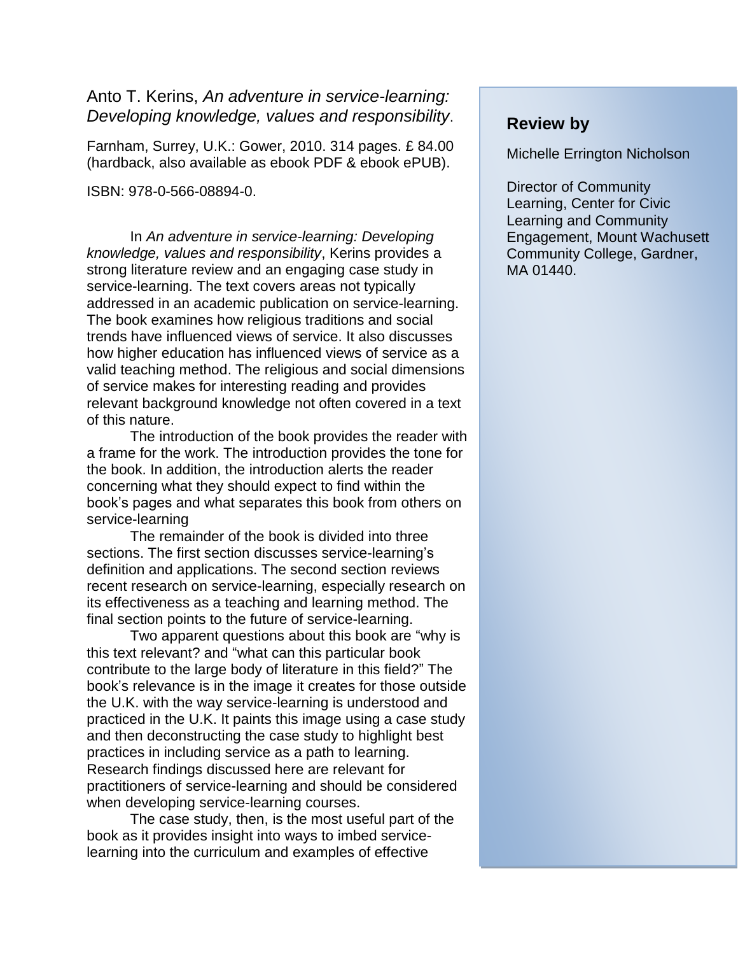## Anto T. Kerins, *An adventure in service-learning: Developing knowledge, values and responsibility*.

Farnham, Surrey, U.K.: Gower, 2010. 314 pages. £ 84.00 (hardback, also available as ebook PDF & ebook ePUB).

ISBN: 978-0-566-08894-0.

In *An adventure in service-learning: Developing knowledge, values and responsibility*, Kerins provides a strong literature review and an engaging case study in service-learning. The text covers areas not typically addressed in an academic publication on service-learning. The book examines how religious traditions and social trends have influenced views of service. It also discusses how higher education has influenced views of service as a valid teaching method. The religious and social dimensions of service makes for interesting reading and provides relevant background knowledge not often covered in a text of this nature.

The introduction of the book provides the reader with a frame for the work. The introduction provides the tone for the book. In addition, the introduction alerts the reader concerning what they should expect to find within the book's pages and what separates this book from others on service-learning

The remainder of the book is divided into three sections. The first section discusses service-learning's definition and applications. The second section reviews recent research on service-learning, especially research on its effectiveness as a teaching and learning method. The final section points to the future of service-learning.

Two apparent questions about this book are "why is this text relevant? and "what can this particular book contribute to the large body of literature in this field?" The book's relevance is in the image it creates for those outside the U.K. with the way service-learning is understood and practiced in the U.K. It paints this image using a case study and then deconstructing the case study to highlight best practices in including service as a path to learning. Research findings discussed here are relevant for practitioners of service-learning and should be considered when developing service-learning courses.

The case study, then, is the most useful part of the book as it provides insight into ways to imbed servicelearning into the curriculum and examples of effective

## **Review by**

Michelle Errington Nicholson

Director of Community Learning, Center for Civic Learning and Community Engagement, Mount Wachusett Community College, Gardner, MA 01440.